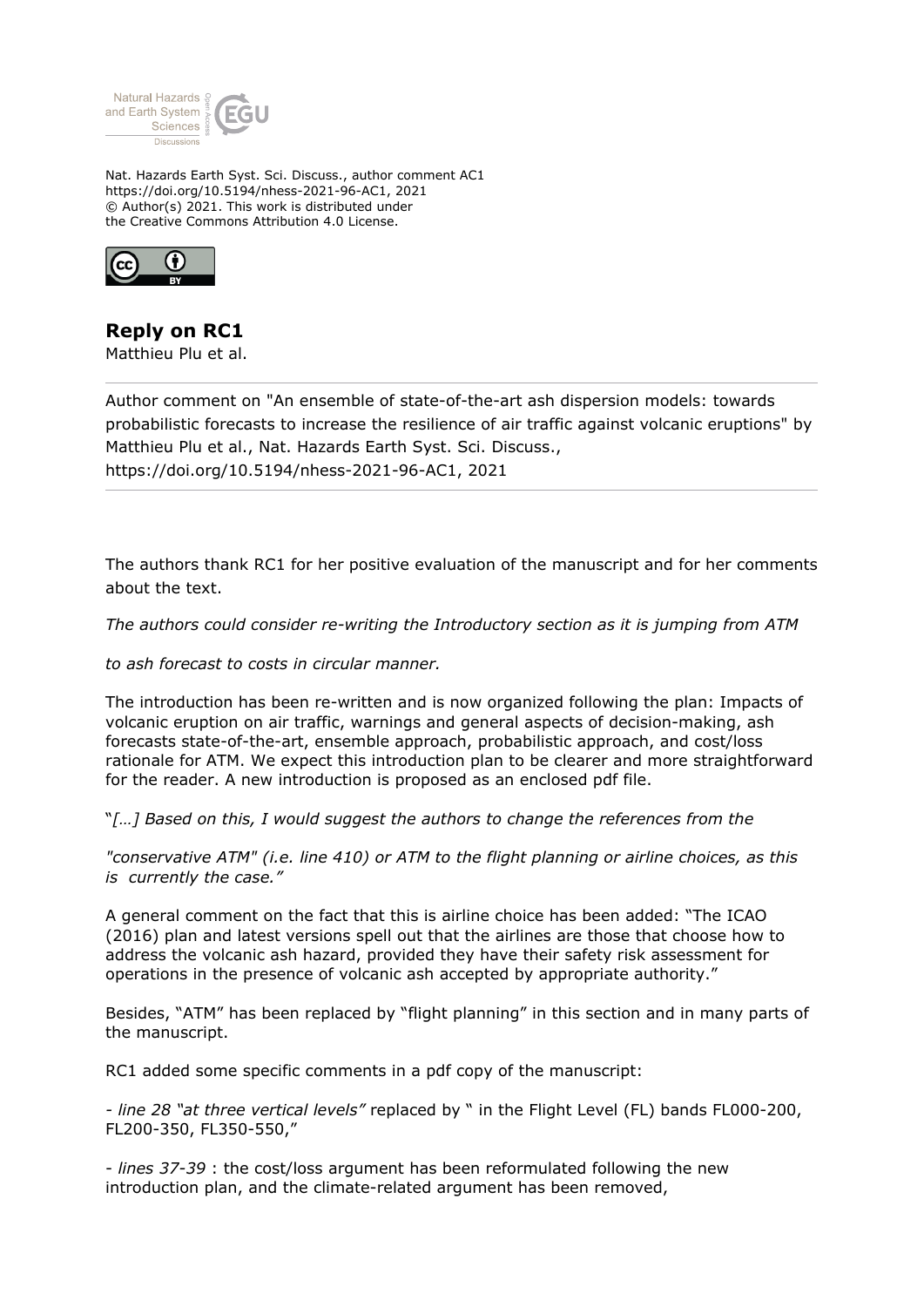

Nat. Hazards Earth Syst. Sci. Discuss., author comment AC1 https://doi.org/10.5194/nhess-2021-96-AC1, 2021 © Author(s) 2021. This work is distributed under the Creative Commons Attribution 4.0 License.



## **Reply on RC1**

Matthieu Plu et al.

Author comment on "An ensemble of state-of-the-art ash dispersion models: towards probabilistic forecasts to increase the resilience of air traffic against volcanic eruptions" by Matthieu Plu et al., Nat. Hazards Earth Syst. Sci. Discuss., https://doi.org/10.5194/nhess-2021-96-AC1, 2021

The authors thank RC1 for her positive evaluation of the manuscript and for her comments about the text.

*The authors could consider re-writing the Introductory section as it is jumping from ATM*

*to ash forecast to costs in circular manner.*

The introduction has been re-written and is now organized following the plan: Impacts of volcanic eruption on air traffic, warnings and general aspects of decision-making, ash forecasts state-of-the-art, ensemble approach, probabilistic approach, and cost/loss rationale for ATM. We expect this introduction plan to be clearer and more straightforward for the reader. A new introduction is proposed as an enclosed pdf file.

"*[…] Based on this, I would suggest the authors to change the references from the*

*"conservative ATM" (i.e. line 410) or ATM to the flight planning or airline choices, as this is currently the case."*

A general comment on the fact that this is airline choice has been added: "The ICAO (2016) plan and latest versions spell out that the airlines are those that choose how to address the volcanic ash hazard, provided they have their safety risk assessment for operations in the presence of volcanic ash accepted by appropriate authority."

Besides, "ATM" has been replaced by "flight planning" in this section and in many parts of the manuscript.

RC1 added some specific comments in a pdf copy of the manuscript:

*- line 28 "at three vertical levels"* replaced by " in the Flight Level (FL) bands FL000-200, FL200-350, FL350-550,"

- *lines 37-39* : the cost/loss argument has been reformulated following the new introduction plan, and the climate-related argument has been removed,